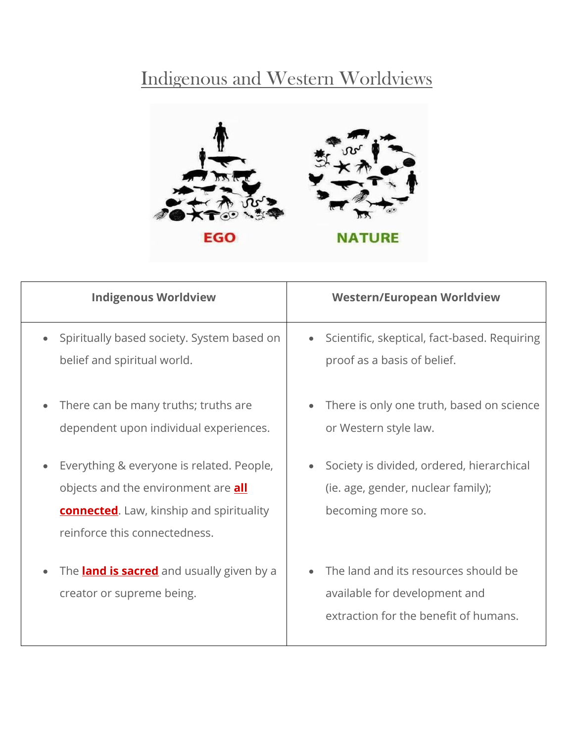## Indigenous and Western Worldviews



| <b>Indigenous Worldview</b>                                                                                                                                                 | <b>Western/European Worldview</b>                                                                              |
|-----------------------------------------------------------------------------------------------------------------------------------------------------------------------------|----------------------------------------------------------------------------------------------------------------|
| Spiritually based society. System based on<br>belief and spiritual world.                                                                                                   | Scientific, skeptical, fact-based. Requiring<br>$\bullet$<br>proof as a basis of belief.                       |
| There can be many truths; truths are<br>dependent upon individual experiences.                                                                                              | There is only one truth, based on science<br>$\bullet$<br>or Western style law.                                |
| Everything & everyone is related. People,<br>objects and the environment are <b>all</b><br><b>connected.</b> Law, kinship and spirituality<br>reinforce this connectedness. | Society is divided, ordered, hierarchical<br>(ie. age, gender, nuclear family);<br>becoming more so.           |
| The <b>land is sacred</b> and usually given by a<br>creator or supreme being.                                                                                               | The land and its resources should be<br>available for development and<br>extraction for the benefit of humans. |